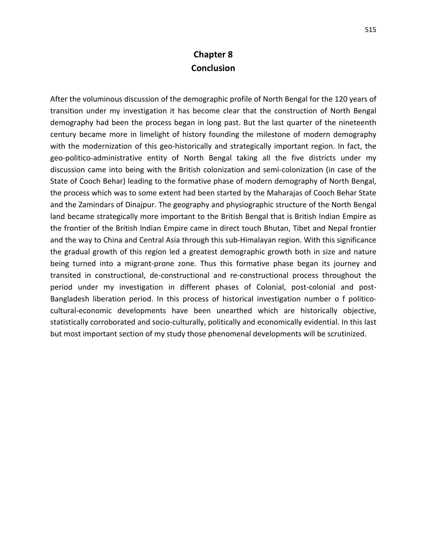## **Chapter 8 Conclusion**

After the voluminous discussion of the demographic profile of North Bengal for the 120 years of transition under my investigation it has become clear that the construction of North Bengal demography had been the process began in long past. But the last quarter of the nineteenth century became more in limelight of history founding the milestone of modern demography with the modernization of this geo-historically and strategically important region. In fact, the geo-politico-administrative entity of North Bengal taking all the five districts under my discussion came into being with the British colonization and semi-colonization (in case of the State of Cooch Behar) leading to the formative phase of modern demography of North Bengal, the process which was to some extent had been started by the Maharajas of Cooch Behar State and the Zamindars of Dinajpur. The geography and physiographic structure of the North Bengal land became strategically more important to the British Bengal that is British Indian Empire as the frontier of the British Indian Empire came in direct touch Bhutan, Tibet and Nepal frontier and the way to China and Central Asia through this sub-Himalayan region. With this significance the gradual growth of this region led a greatest demographic growth both in size and nature being turned into a migrant-prone zone. Thus this formative phase began its journey and transited in constructional, de-constructional and re-constructional process throughout the period under my investigation in different phases of Colonial, post-colonial and post-Bangladesh liberation period. In this process of historical investigation number o f politicocultural-economic developments have been unearthed which are historically objective, statistically corroborated and socio-culturally, politically and economically evidential. In this last but most important section of my study those phenomenal developments will be scrutinized.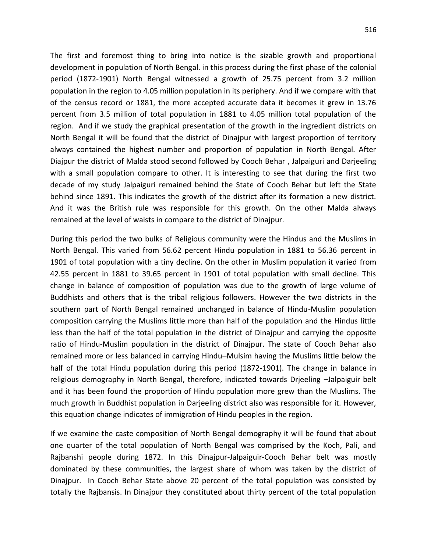The first and foremost thing to bring into notice is the sizable growth and proportional development in population of North Bengal. in this process during the first phase of the colonial period (1872-1901) North Bengal witnessed a growth of 25.75 percent from 3.2 million population in the region to 4.05 million population in its periphery. And if we compare with that of the census record or 1881, the more accepted accurate data it becomes it grew in 13.76 percent from 3.5 million of total population in 1881 to 4.05 million total population of the region. And if we study the graphical presentation of the growth in the ingredient districts on North Bengal it will be found that the district of Dinajpur with largest proportion of territory always contained the highest number and proportion of population in North Bengal. After Diajpur the district of Malda stood second followed by Cooch Behar , Jalpaiguri and Darjeeling with a small population compare to other. It is interesting to see that during the first two decade of my study Jalpaiguri remained behind the State of Cooch Behar but left the State behind since 1891. This indicates the growth of the district after its formation a new district. And it was the British rule was responsible for this growth. On the other Malda always remained at the level of waists in compare to the district of Dinajpur.

During this period the two bulks of Religious community were the Hindus and the Muslims in North Bengal. This varied from 56.62 percent Hindu population in 1881 to 56.36 percent in 1901 of total population with a tiny decline. On the other in Muslim population it varied from 42.55 percent in 1881 to 39.65 percent in 1901 of total population with small decline. This change in balance of composition of population was due to the growth of large volume of Buddhists and others that is the tribal religious followers. However the two districts in the southern part of North Bengal remained unchanged in balance of Hindu-Muslim population composition carrying the Muslims little more than half of the population and the Hindus little less than the half of the total population in the district of Dinajpur and carrying the opposite ratio of Hindu-Muslim population in the district of Dinajpur. The state of Cooch Behar also remained more or less balanced in carrying Hindu–Mulsim having the Muslims little below the half of the total Hindu population during this period (1872-1901). The change in balance in religious demography in North Bengal, therefore, indicated towards Drjeeling –Jalpaiguir belt and it has been found the proportion of Hindu population more grew than the Muslims. The much growth in Buddhist population in Darjeeling district also was responsible for it. However, this equation change indicates of immigration of Hindu peoples in the region.

If we examine the caste composition of North Bengal demography it will be found that about one quarter of the total population of North Bengal was comprised by the Koch, Pali, and Rajbanshi people during 1872. In this Dinajpur-Jalpaiguir-Cooch Behar belt was mostly dominated by these communities, the largest share of whom was taken by the district of Dinajpur. In Cooch Behar State above 20 percent of the total population was consisted by totally the Rajbansis. In Dinajpur they constituted about thirty percent of the total population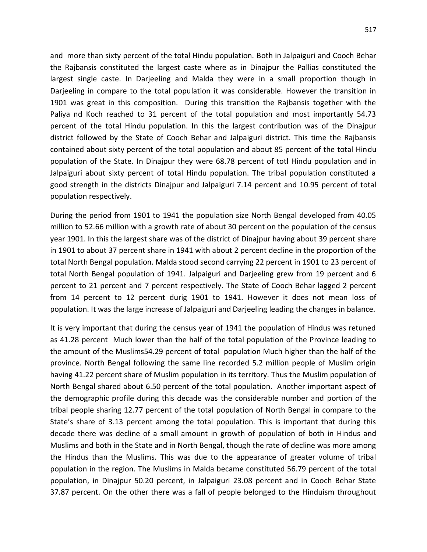and more than sixty percent of the total Hindu population. Both in Jalpaiguri and Cooch Behar the Rajbansis constituted the largest caste where as in Dinajpur the Pallias constituted the largest single caste. In Darjeeling and Malda they were in a small proportion though in Darjeeling in compare to the total population it was considerable. However the transition in 1901 was great in this composition. During this transition the Rajbansis together with the Paliya nd Koch reached to 31 percent of the total population and most importantly 54.73 percent of the total Hindu population. In this the largest contribution was of the Dinajpur district followed by the State of Cooch Behar and Jalpaiguri district. This time the Rajbansis contained about sixty percent of the total population and about 85 percent of the total Hindu population of the State. In Dinajpur they were 68.78 percent of totl Hindu population and in Jalpaiguri about sixty percent of total Hindu population. The tribal population constituted a good strength in the districts Dinajpur and Jalpaiguri 7.14 percent and 10.95 percent of total population respectively.

During the period from 1901 to 1941 the population size North Bengal developed from 40.05 million to 52.66 million with a growth rate of about 30 percent on the population of the census year 1901. In this the largest share was of the district of Dinajpur having about 39 percent share in 1901 to about 37 percent share in 1941 with about 2 percent decline in the proportion of the total North Bengal population. Malda stood second carrying 22 percent in 1901 to 23 percent of total North Bengal population of 1941. Jalpaiguri and Darjeeling grew from 19 percent and 6 percent to 21 percent and 7 percent respectively. The State of Cooch Behar lagged 2 percent from 14 percent to 12 percent durig 1901 to 1941. However it does not mean loss of population. It was the large increase of Jalpaiguri and Darjeeling leading the changes in balance.

It is very important that during the census year of 1941 the population of Hindus was retuned as 41.28 percent Much lower than the half of the total population of the Province leading to the amount of the Muslims54.29 percent of total population Much higher than the half of the province. North Bengal following the same line recorded 5.2 million people of Muslim origin having 41.22 percent share of Muslim population in its territory. Thus the Muslim population of North Bengal shared about 6.50 percent of the total population. Another important aspect of the demographic profile during this decade was the considerable number and portion of the tribal people sharing 12.77 percent of the total population of North Bengal in compare to the State's share of 3.13 percent among the total population. This is important that during this decade there was decline of a small amount in growth of population of both in Hindus and Muslims and both in the State and in North Bengal, though the rate of decline was more among the Hindus than the Muslims. This was due to the appearance of greater volume of tribal population in the region. The Muslims in Malda became constituted 56.79 percent of the total population, in Dinajpur 50.20 percent, in Jalpaiguri 23.08 percent and in Cooch Behar State 37.87 percent. On the other there was a fall of people belonged to the Hinduism throughout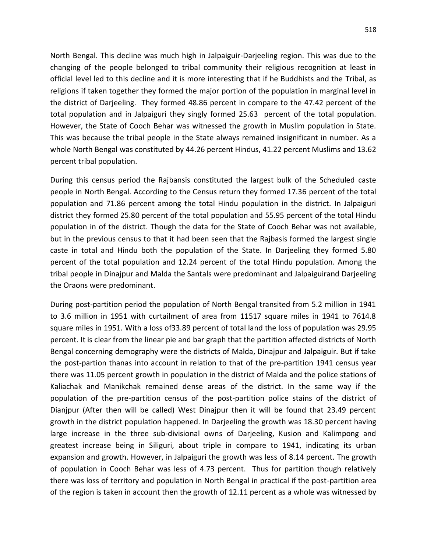North Bengal. This decline was much high in Jalpaiguir-Darjeeling region. This was due to the changing of the people belonged to tribal community their religious recognition at least in official level led to this decline and it is more interesting that if he Buddhists and the Tribal, as religions if taken together they formed the major portion of the population in marginal level in the district of Darjeeling. They formed 48.86 percent in compare to the 47.42 percent of the total population and in Jalpaiguri they singly formed 25.63 percent of the total population. However, the State of Cooch Behar was witnessed the growth in Muslim population in State. This was because the tribal people in the State always remained insignificant in number. As a whole North Bengal was constituted by 44.26 percent Hindus, 41.22 percent Muslims and 13.62 percent tribal population.

During this census period the Rajbansis constituted the largest bulk of the Scheduled caste people in North Bengal. According to the Census return they formed 17.36 percent of the total population and 71.86 percent among the total Hindu population in the district. In Jalpaiguri district they formed 25.80 percent of the total population and 55.95 percent of the total Hindu population in of the district. Though the data for the State of Cooch Behar was not available, but in the previous census to that it had been seen that the Rajbasis formed the largest single caste in total and Hindu both the population of the State. In Darjeeling they formed 5.80 percent of the total population and 12.24 percent of the total Hindu population. Among the tribal people in Dinajpur and Malda the Santals were predominant and Jalpaiguirand Darjeeling the Oraons were predominant.

During post-partition period the population of North Bengal transited from 5.2 million in 1941 to 3.6 million in 1951 with curtailment of area from 11517 square miles in 1941 to 7614.8 square miles in 1951. With a loss of33.89 percent of total land the loss of population was 29.95 percent. It is clear from the linear pie and bar graph that the partition affected districts of North Bengal concerning demography were the districts of Malda, Dinajpur and Jalpaiguir. But if take the post-partion thanas into account in relation to that of the pre-partition 1941 census year there was 11.05 percent growth in population in the district of Malda and the police stations of Kaliachak and Manikchak remained dense areas of the district. In the same way if the population of the pre-partition census of the post-partition police stains of the district of Dianjpur (After then will be called) West Dinajpur then it will be found that 23.49 percent growth in the district population happened. In Darjeeling the growth was 18.30 percent having large increase in the three sub-divisional owns of Darjeeling, Kusion and Kalimpong and greatest increase being in Siliguri, about triple in compare to 1941, indicating its urban expansion and growth. However, in Jalpaiguri the growth was less of 8.14 percent. The growth of population in Cooch Behar was less of 4.73 percent. Thus for partition though relatively there was loss of territory and population in North Bengal in practical if the post-partition area of the region is taken in account then the growth of 12.11 percent as a whole was witnessed by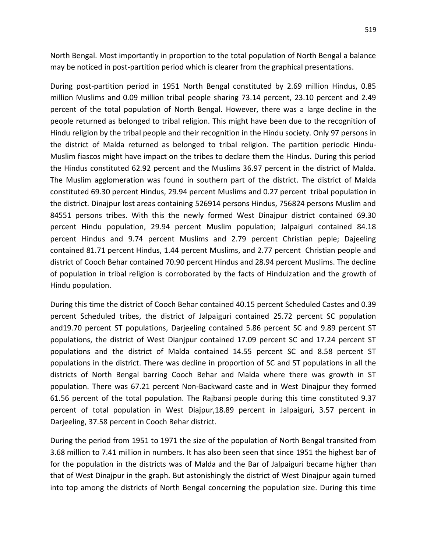North Bengal. Most importantly in proportion to the total population of North Bengal a balance may be noticed in post-partition period which is clearer from the graphical presentations.

During post-partition period in 1951 North Bengal constituted by 2.69 million Hindus, 0.85 million Muslims and 0.09 million tribal people sharing 73.14 percent, 23.10 percent and 2.49 percent of the total population of North Bengal. However, there was a large decline in the people returned as belonged to tribal religion. This might have been due to the recognition of Hindu religion by the tribal people and their recognition in the Hindu society. Only 97 persons in the district of Malda returned as belonged to tribal religion. The partition periodic Hindu-Muslim fiascos might have impact on the tribes to declare them the Hindus. During this period the Hindus constituted 62.92 percent and the Muslims 36.97 percent in the district of Malda. The Muslim agglomeration was found in southern part of the district. The district of Malda constituted 69.30 percent Hindus, 29.94 percent Muslims and 0.27 percent tribal population in the district. Dinajpur lost areas containing 526914 persons Hindus, 756824 persons Muslim and 84551 persons tribes. With this the newly formed West Dinajpur district contained 69.30 percent Hindu population, 29.94 percent Muslim population; Jalpaiguri contained 84.18 percent Hindus and 9.74 percent Muslims and 2.79 percent Christian peple; Dajeeling contained 81.71 percent Hindus, 1.44 percent Muslims, and 2.77 percent Christian people and district of Cooch Behar contained 70.90 percent Hindus and 28.94 percent Muslims. The decline of population in tribal religion is corroborated by the facts of Hinduization and the growth of Hindu population.

During this time the district of Cooch Behar contained 40.15 percent Scheduled Castes and 0.39 percent Scheduled tribes, the district of Jalpaiguri contained 25.72 percent SC population and19.70 percent ST populations, Darjeeling contained 5.86 percent SC and 9.89 percent ST populations, the district of West Dianjpur contained 17.09 percent SC and 17.24 percent ST populations and the district of Malda contained 14.55 percent SC and 8.58 percent ST populations in the district. There was decline in proportion of SC and ST populations in all the districts of North Bengal barring Cooch Behar and Malda where there was growth in ST population. There was 67.21 percent Non-Backward caste and in West Dinajpur they formed 61.56 percent of the total population. The Rajbansi people during this time constituted 9.37 percent of total population in West Diajpur,18.89 percent in Jalpaiguri, 3.57 percent in Darjeeling, 37.58 percent in Cooch Behar district.

During the period from 1951 to 1971 the size of the population of North Bengal transited from 3.68 million to 7.41 million in numbers. It has also been seen that since 1951 the highest bar of for the population in the districts was of Malda and the Bar of Jalpaiguri became higher than that of West Dinajpur in the graph. But astonishingly the district of West Dinajpur again turned into top among the districts of North Bengal concerning the population size. During this time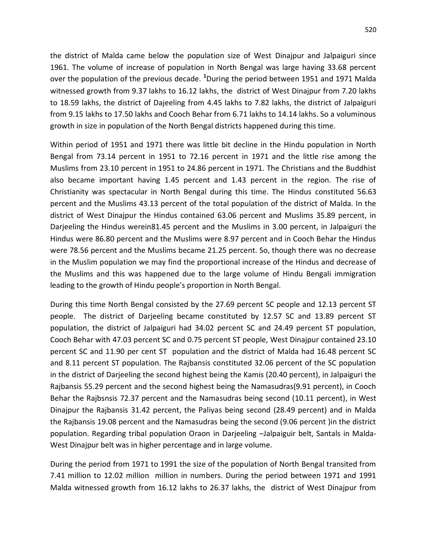the district of Malda came below the population size of West Dinajpur and Jalpaiguri since 1961. The volume of increase of population in North Bengal was large having 33.68 percent over the population of the previous decade. **<sup>1</sup>**During the period between 1951 and 1971 Malda witnessed growth from 9.37 lakhs to 16.12 lakhs, the district of West Dinajpur from 7.20 lakhs to 18.59 lakhs, the district of Dajeeling from 4.45 lakhs to 7.82 lakhs, the district of Jalpaiguri from 9.15 lakhs to 17.50 lakhs and Cooch Behar from 6.71 lakhs to 14.14 lakhs. So a voluminous growth in size in population of the North Bengal districts happened during this time.

Within period of 1951 and 1971 there was little bit decline in the Hindu population in North Bengal from 73.14 percent in 1951 to 72.16 percent in 1971 and the little rise among the Muslims from 23.10 percent in 1951 to 24.86 percent in 1971. The Christians and the Buddhist also became important having 1.45 percent and 1.43 percent in the region. The rise of Christianity was spectacular in North Bengal during this time. The Hindus constituted 56.63 percent and the Muslims 43.13 percent of the total population of the district of Malda. In the district of West Dinajpur the Hindus contained 63.06 percent and Muslims 35.89 percent, in Darjeeling the Hindus werein81.45 percent and the Muslims in 3.00 percent, in Jalpaiguri the Hindus were 86.80 percent and the Muslims were 8.97 percent and in Cooch Behar the Hindus were 78.56 percent and the Muslims became 21.25 percent. So, though there was no decrease in the Muslim population we may find the proportional increase of the Hindus and decrease of the Muslims and this was happened due to the large volume of Hindu Bengali immigration leading to the growth of Hindu people's proportion in North Bengal.

During this time North Bengal consisted by the 27.69 percent SC people and 12.13 percent ST people. The district of Darjeeling became constituted by 12.57 SC and 13.89 percent ST population, the district of Jalpaiguri had 34.02 percent SC and 24.49 percent ST population, Cooch Behar with 47.03 percent SC and 0.75 percent ST people, West Dinajpur contained 23.10 percent SC and 11.90 per cent ST population and the district of Malda had 16.48 percent SC and 8.11 percent ST population. The Rajbansis constituted 32.06 percent of the SC population in the district of Darjeeling the second highest being the Kamis (20.40 percent), in Jalpaiguri the Rajbansis 55.29 percent and the second highest being the Namasudras(9.91 percent), in Cooch Behar the Rajbsnsis 72.37 percent and the Namasudras being second (10.11 percent), in West Dinajpur the Rajbansis 31.42 percent, the Paliyas being second (28.49 percent) and in Malda the Rajbansis 19.08 percent and the Namasudras being the second (9.06 percent )in the district population. Regarding tribal population Oraon in Darjeeling –Jalpaiguir belt, Santals in Malda-West Dinajpur belt was in higher percentage and in large volume.

During the period from 1971 to 1991 the size of the population of North Bengal transited from 7.41 million to 12.02 million million in numbers. During the period between 1971 and 1991 Malda witnessed growth from 16.12 lakhs to 26.37 lakhs, the district of West Dinajpur from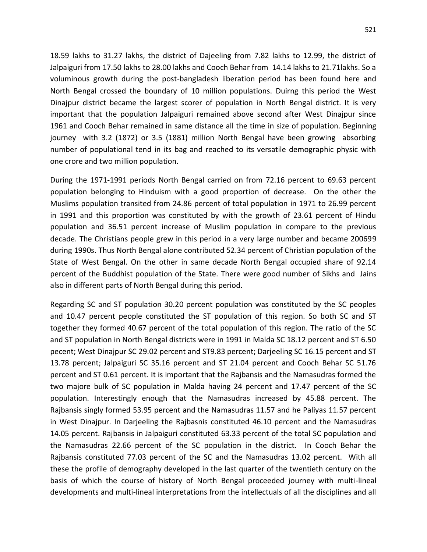18.59 lakhs to 31.27 lakhs, the district of Dajeeling from 7.82 lakhs to 12.99, the district of Jalpaiguri from 17.50 lakhs to 28.00 lakhs and Cooch Behar from 14.14 lakhs to 21.71lakhs. So a voluminous growth during the post-bangladesh liberation period has been found here and North Bengal crossed the boundary of 10 million populations. Duirng this period the West Dinajpur district became the largest scorer of population in North Bengal district. It is very important that the population Jalpaiguri remained above second after West Dinajpur since 1961 and Cooch Behar remained in same distance all the time in size of population. Beginning journey with 3.2 (1872) or 3.5 (1881) million North Bengal have been growing absorbing number of populational tend in its bag and reached to its versatile demographic physic with one crore and two million population.

During the 1971-1991 periods North Bengal carried on from 72.16 percent to 69.63 percent population belonging to Hinduism with a good proportion of decrease. On the other the Muslims population transited from 24.86 percent of total population in 1971 to 26.99 percent in 1991 and this proportion was constituted by with the growth of 23.61 percent of Hindu population and 36.51 percent increase of Muslim population in compare to the previous decade. The Christians people grew in this period in a very large number and became 200699 during 1990s. Thus North Bengal alone contributed 52.34 percent of Christian population of the State of West Bengal. On the other in same decade North Bengal occupied share of 92.14 percent of the Buddhist population of the State. There were good number of Sikhs and Jains also in different parts of North Bengal during this period.

Regarding SC and ST population 30.20 percent population was constituted by the SC peoples and 10.47 percent people constituted the ST population of this region. So both SC and ST together they formed 40.67 percent of the total population of this region. The ratio of the SC and ST population in North Bengal districts were in 1991 in Malda SC 18.12 percent and ST 6.50 pecent; West Dinajpur SC 29.02 percent and ST9.83 percent; Darjeeling SC 16.15 percent and ST 13.78 percent; Jalpaiguri SC 35.16 percent and ST 21.04 percent and Cooch Behar SC 51.76 percent and ST 0.61 percent. It is important that the Rajbansis and the Namasudras formed the two majore bulk of SC population in Malda having 24 percent and 17.47 percent of the SC population. Interestingly enough that the Namasudras increased by 45.88 percent. The Rajbansis singly formed 53.95 percent and the Namasudras 11.57 and he Paliyas 11.57 percent in West Dinajpur. In Darjeeling the Rajbasnis constituted 46.10 percent and the Namasudras 14.05 percent. Rajbansis in Jalpaiguri constituted 63.33 percent of the total SC population and the Namasudras 22.66 percent of the SC population in the district. In Cooch Behar the Rajbansis constituted 77.03 percent of the SC and the Namasudras 13.02 percent. With all these the profile of demography developed in the last quarter of the twentieth century on the basis of which the course of history of North Bengal proceeded journey with multi-lineal developments and multi-lineal interpretations from the intellectuals of all the disciplines and all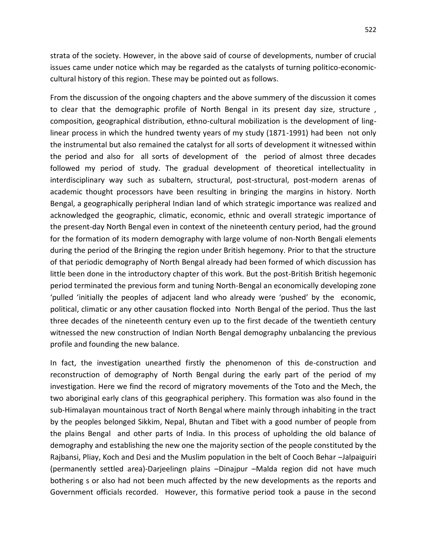strata of the society. However, in the above said of course of developments, number of crucial issues came under notice which may be regarded as the catalysts of turning politico-economiccultural history of this region. These may be pointed out as follows.

From the discussion of the ongoing chapters and the above summery of the discussion it comes to clear that the demographic profile of North Bengal in its present day size, structure , composition, geographical distribution, ethno-cultural mobilization is the development of linglinear process in which the hundred twenty years of my study (1871-1991) had been not only the instrumental but also remained the catalyst for all sorts of development it witnessed within the period and also for all sorts of development of the period of almost three decades followed my period of study. The gradual development of theoretical intellectuality in interdisciplinary way such as subaltern, structural, post-structural, post-modern arenas of academic thought processors have been resulting in bringing the margins in history. North Bengal, a geographically peripheral Indian land of which strategic importance was realized and acknowledged the geographic, climatic, economic, ethnic and overall strategic importance of the present-day North Bengal even in context of the nineteenth century period, had the ground for the formation of its modern demography with large volume of non-North Bengali elements during the period of the Bringing the region under British hegemony. Prior to that the structure of that periodic demography of North Bengal already had been formed of which discussion has little been done in the introductory chapter of this work. But the post-British British hegemonic period terminated the previous form and tuning North-Bengal an economically developing zone 'pulled 'initially the peoples of adjacent land who already were 'pushed' by the economic, political, climatic or any other causation flocked into North Bengal of the period. Thus the last three decades of the nineteenth century even up to the first decade of the twentieth century witnessed the new construction of Indian North Bengal demography unbalancing the previous profile and founding the new balance.

In fact, the investigation unearthed firstly the phenomenon of this de-construction and reconstruction of demography of North Bengal during the early part of the period of my investigation. Here we find the record of migratory movements of the Toto and the Mech, the two aboriginal early clans of this geographical periphery. This formation was also found in the sub-Himalayan mountainous tract of North Bengal where mainly through inhabiting in the tract by the peoples belonged Sikkim, Nepal, Bhutan and Tibet with a good number of people from the plains Bengal and other parts of India. In this process of upholding the old balance of demography and establishing the new one the majority section of the people constituted by the Rajbansi, Pliay, Koch and Desi and the Muslim population in the belt of Cooch Behar –Jalpaiguiri (permanently settled area)-Darjeelingn plains –Dinajpur –Malda region did not have much bothering s or also had not been much affected by the new developments as the reports and Government officials recorded. However, this formative period took a pause in the second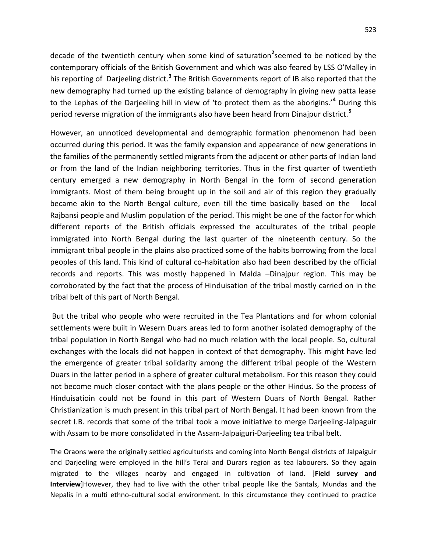decade of the twentieth century when some kind of saturation**<sup>2</sup>** seemed to be noticed by the contemporary officials of the British Government and which was also feared by LSS O'Malley in his reporting of Darjeeling district.<sup>3</sup> The British Governments report of IB also reported that the new demography had turned up the existing balance of demography in giving new patta lease to the Lephas of the Darjeeling hill in view of 'to protect them as the aborigins.'**<sup>4</sup>** During this period reverse migration of the immigrants also have been heard from Dinajpur district.**<sup>5</sup>**

However, an unnoticed developmental and demographic formation phenomenon had been occurred during this period. It was the family expansion and appearance of new generations in the families of the permanently settled migrants from the adjacent or other parts of Indian land or from the land of the Indian neighboring territories. Thus in the first quarter of twentieth century emerged a new demography in North Bengal in the form of second generation immigrants. Most of them being brought up in the soil and air of this region they gradually became akin to the North Bengal culture, even till the time basically based on the local Rajbansi people and Muslim population of the period. This might be one of the factor for which different reports of the British officials expressed the acculturates of the tribal people immigrated into North Bengal during the last quarter of the nineteenth century. So the immigrant tribal people in the plains also practiced some of the habits borrowing from the local peoples of this land. This kind of cultural co-habitation also had been described by the official records and reports. This was mostly happened in Malda –Dinajpur region. This may be corroborated by the fact that the process of Hinduisation of the tribal mostly carried on in the tribal belt of this part of North Bengal.

But the tribal who people who were recruited in the Tea Plantations and for whom colonial settlements were built in Wesern Duars areas led to form another isolated demography of the tribal population in North Bengal who had no much relation with the local people. So, cultural exchanges with the locals did not happen in context of that demography. This might have led the emergence of greater tribal solidarity among the different tribal people of the Western Duars in the latter period in a sphere of greater cultural metabolism. For this reason they could not become much closer contact with the plans people or the other Hindus. So the process of Hinduisatioin could not be found in this part of Western Duars of North Bengal. Rather Christianization is much present in this tribal part of North Bengal. It had been known from the secret I.B. records that some of the tribal took a move initiative to merge Darjeeling-Jalpaguir with Assam to be more consolidated in the Assam-Jalpaiguri-Darjeeling tea tribal belt.

The Oraons were the originally settled agriculturists and coming into North Bengal districts of Jalpaiguir and Darjeeling were employed in the hill's Terai and Durars region as tea labourers. So they again migrated to the villages nearby and engaged in cultivation of land. [**Field survey and Interview**]However, they had to live with the other tribal people like the Santals, Mundas and the Nepalis in a multi ethno-cultural social environment. In this circumstance they continued to practice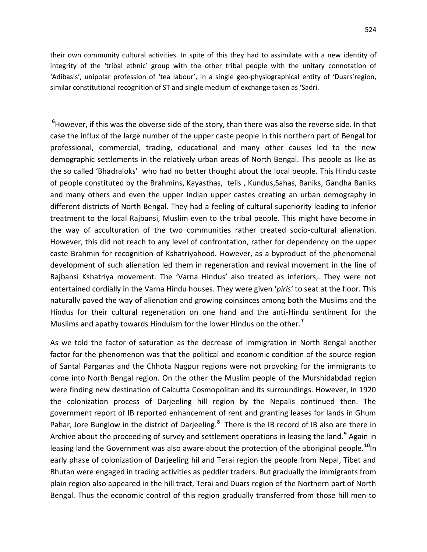their own community cultural activities. In spite of this they had to assimilate with a new identity of integrity of the 'tribal ethnic' group with the other tribal people with the unitary connotation of 'Adibasis', unipolar profession of 'tea labour', in a single geo-physiographical entity of 'Duars'region, similar constitutional recognition of ST and single medium of exchange taken as 'Sadri.

**<sup>6</sup>**However, if this was the obverse side of the story, than there was also the reverse side. In that case the influx of the large number of the upper caste people in this northern part of Bengal for professional, commercial, trading, educational and many other causes led to the new demographic settlements in the relatively urban areas of North Bengal. This people as like as the so called 'Bhadraloks' who had no better thought about the local people. This Hindu caste of people constituted by the Brahmins, Kayasthas, telis , Kundus,Sahas, Baniks, Gandha Baniks and many others and even the upper Indian upper castes creating an urban demography in different districts of North Bengal. They had a feeling of cultural superiority leading to inferior treatment to the local Rajbansi, Muslim even to the tribal people. This might have become in the way of acculturation of the two communities rather created socio-cultural alienation. However, this did not reach to any level of confrontation, rather for dependency on the upper caste Brahmin for recognition of Kshatriyahood. However, as a byproduct of the phenomenal development of such alienation led them in regeneration and revival movement in the line of Rajbansi Kshatriya movement. The 'Varna Hindus' also treated as inferiors,. They were not entertained cordially in the Varna Hindu houses. They were given '*piris'* to seat at the floor. This naturally paved the way of alienation and growing coinsinces among both the Muslims and the Hindus for their cultural regeneration on one hand and the anti-Hindu sentiment for the Muslims and apathy towards Hinduism for the lower Hindus on the other.**<sup>7</sup>**

As we told the factor of saturation as the decrease of immigration in North Bengal another factor for the phenomenon was that the political and economic condition of the source region of Santal Parganas and the Chhota Nagpur regions were not provoking for the immigrants to come into North Bengal region. On the other the Muslim people of the Murshidabdad region were finding new destination of Calcutta Cosmopolitan and its surroundings. However, in 1920 the colonization process of Darjeeling hill region by the Nepalis continued then. The government report of IB reported enhancement of rent and granting leases for lands in Ghum Pahar, Jore Bunglow in the district of Darjeeling.<sup>8</sup> There is the IB record of IB also are there in Archive about the proceeding of survey and settlement operations in leasing the land.**<sup>9</sup>** Again in leasing land the Government was also aware about the protection of the aboriginal people.**<sup>10</sup>**In early phase of colonization of Darjeeling hil and Terai region the people from Nepal, Tibet and Bhutan were engaged in trading activities as peddler traders. But gradually the immigrants from plain region also appeared in the hill tract, Terai and Duars region of the Northern part of North Bengal. Thus the economic control of this region gradually transferred from those hill men to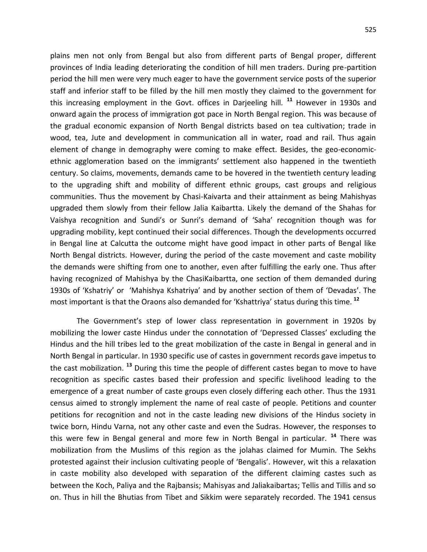plains men not only from Bengal but also from different parts of Bengal proper, different provinces of India leading deteriorating the condition of hill men traders. During pre-partition period the hill men were very much eager to have the government service posts of the superior staff and inferior staff to be filled by the hill men mostly they claimed to the government for this increasing employment in the Govt. offices in Darjeeling hill. **<sup>11</sup>** However in 1930s and onward again the process of immigration got pace in North Bengal region. This was because of the gradual economic expansion of North Bengal districts based on tea cultivation; trade in wood, tea, Jute and development in communication all in water, road and rail. Thus again element of change in demography were coming to make effect. Besides, the geo-economicethnic agglomeration based on the immigrants' settlement also happened in the twentieth century. So claims, movements, demands came to be hovered in the twentieth century leading to the upgrading shift and mobility of different ethnic groups, cast groups and religious communities. Thus the movement by Chasi-Kaivarta and their attainment as being Mahishyas upgraded them slowly from their fellow Jalia Kaibartta. Likely the demand of the Shahas for Vaishya recognition and Sundi's or Sunri's demand of 'Saha' recognition though was for upgrading mobility, kept continued their social differences. Though the developments occurred in Bengal line at Calcutta the outcome might have good impact in other parts of Bengal like North Bengal districts. However, during the period of the caste movement and caste mobility the demands were shifting from one to another, even after fulfilling the early one. Thus after having recognized of Mahishya by the ChasiKaibartta, one section of them demanded during 1930s of 'Kshatriy' or 'Mahishya Kshatriya' and by another section of them of 'Devadas'. The most important is that the Oraons also demanded for 'Kshattriya' status during this time. **<sup>12</sup>**

 The Government's step of lower class representation in government in 1920s by mobilizing the lower caste Hindus under the connotation of 'Depressed Classes' excluding the Hindus and the hill tribes led to the great mobilization of the caste in Bengal in general and in North Bengal in particular. In 1930 specific use of castes in government records gave impetus to the cast mobilization. **<sup>13</sup>** During this time the people of different castes began to move to have recognition as specific castes based their profession and specific livelihood leading to the emergence of a great number of caste groups even closely differing each other. Thus the 1931 census aimed to strongly implement the name of real caste of people. Petitions and counter petitions for recognition and not in the caste leading new divisions of the Hindus society in twice born, Hindu Varna, not any other caste and even the Sudras. However, the responses to this were few in Bengal general and more few in North Bengal in particular. **<sup>14</sup>** There was mobilization from the Muslims of this region as the jolahas claimed for Mumin. The Sekhs protested against their inclusion cultivating people of 'Bengalis'. However, wit this a relaxation in caste mobility also developed with separation of the different claiming castes such as between the Koch, Paliya and the Rajbansis; Mahisyas and Jaliakaibartas; Tellis and Tillis and so on. Thus in hill the Bhutias from Tibet and Sikkim were separately recorded. The 1941 census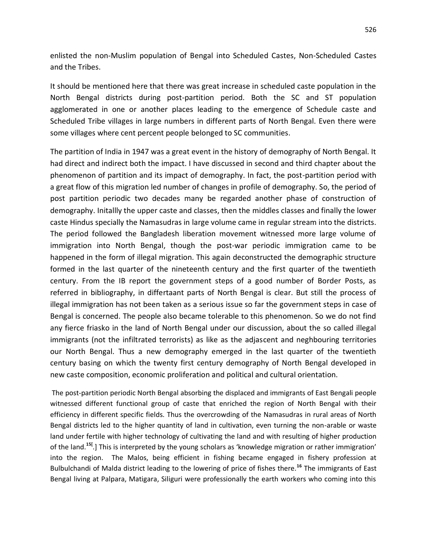enlisted the non-Muslim population of Bengal into Scheduled Castes, Non-Scheduled Castes and the Tribes.

It should be mentioned here that there was great increase in scheduled caste population in the North Bengal districts during post-partition period. Both the SC and ST population agglomerated in one or another places leading to the emergence of Schedule caste and Scheduled Tribe villages in large numbers in different parts of North Bengal. Even there were some villages where cent percent people belonged to SC communities.

The partition of India in 1947 was a great event in the history of demography of North Bengal. It had direct and indirect both the impact. I have discussed in second and third chapter about the phenomenon of partition and its impact of demography. In fact, the post-partition period with a great flow of this migration led number of changes in profile of demography. So, the period of post partition periodic two decades many be regarded another phase of construction of demography. Initallly the upper caste and classes, then the middles classes and finally the lower caste Hindus specially the Namasudras in large volume came in regular stream into the districts. The period followed the Bangladesh liberation movement witnessed more large volume of immigration into North Bengal, though the post-war periodic immigration came to be happened in the form of illegal migration. This again deconstructed the demographic structure formed in the last quarter of the nineteenth century and the first quarter of the twentieth century. From the IB report the government steps of a good number of Border Posts, as referred in bibliography, in differtaant parts of North Bengal is clear. But still the process of illegal immigration has not been taken as a serious issue so far the government steps in case of Bengal is concerned. The people also became tolerable to this phenomenon. So we do not find any fierce friasko in the land of North Bengal under our discussion, about the so called illegal immigrants (not the infiltrated terrorists) as like as the adjascent and neghbouring territories our North Bengal. Thus a new demography emerged in the last quarter of the twentieth century basing on which the twenty first century demography of North Bengal developed in new caste composition, economic proliferation and political and cultural orientation.

The post-partition periodic North Bengal absorbing the displaced and immigrants of East Bengali people witnessed different functional group of caste that enriched the region of North Bengal with their efficiency in different specific fields. Thus the overcrowding of the Namasudras in rural areas of North Bengal districts led to the higher quantity of land in cultivation, even turning the non-arable or waste land under fertile with higher technology of cultivating the land and with resulting of higher production of the land.<sup>15[</sup>.] This is interpreted by the young scholars as 'knowledge migration or rather immigration' into the region. The Malos, being efficient in fishing became engaged in fishery profession at Bulbulchandi of Malda district leading to the lowering of price of fishes there.**<sup>16</sup>** The immigrants of East Bengal living at Palpara, Matigara, Siliguri were professionally the earth workers who coming into this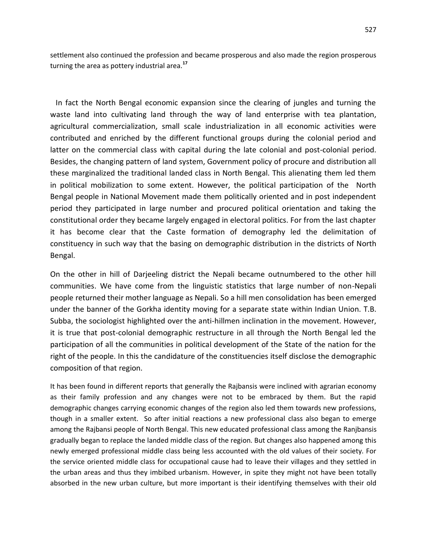settlement also continued the profession and became prosperous and also made the region prosperous turning the area as pottery industrial area.**<sup>17</sup>**

 In fact the North Bengal economic expansion since the clearing of jungles and turning the waste land into cultivating land through the way of land enterprise with tea plantation, agricultural commercialization, small scale industrialization in all economic activities were contributed and enriched by the different functional groups during the colonial period and latter on the commercial class with capital during the late colonial and post-colonial period. Besides, the changing pattern of land system, Government policy of procure and distribution all these marginalized the traditional landed class in North Bengal. This alienating them led them in political mobilization to some extent. However, the political participation of the North Bengal people in National Movement made them politically oriented and in post independent period they participated in large number and procured political orientation and taking the constitutional order they became largely engaged in electoral politics. For from the last chapter it has become clear that the Caste formation of demography led the delimitation of constituency in such way that the basing on demographic distribution in the districts of North Bengal.

On the other in hill of Darjeeling district the Nepali became outnumbered to the other hill communities. We have come from the linguistic statistics that large number of non-Nepali people returned their mother language as Nepali. So a hill men consolidation has been emerged under the banner of the Gorkha identity moving for a separate state within Indian Union. T.B. Subba, the sociologist highlighted over the anti-hillmen inclination in the movement. However, it is true that post-colonial demographic restructure in all through the North Bengal led the participation of all the communities in political development of the State of the nation for the right of the people. In this the candidature of the constituencies itself disclose the demographic composition of that region.

It has been found in different reports that generally the Rajbansis were inclined with agrarian economy as their family profession and any changes were not to be embraced by them. But the rapid demographic changes carrying economic changes of the region also led them towards new professions, though in a smaller extent. So after initial reactions a new professional class also began to emerge among the Rajbansi people of North Bengal. This new educated professional class among the Ranjbansis gradually began to replace the landed middle class of the region. But changes also happened among this newly emerged professional middle class being less accounted with the old values of their society. For the service oriented middle class for occupational cause had to leave their villages and they settled in the urban areas and thus they imbibed urbanism. However, in spite they might not have been totally absorbed in the new urban culture, but more important is their identifying themselves with their old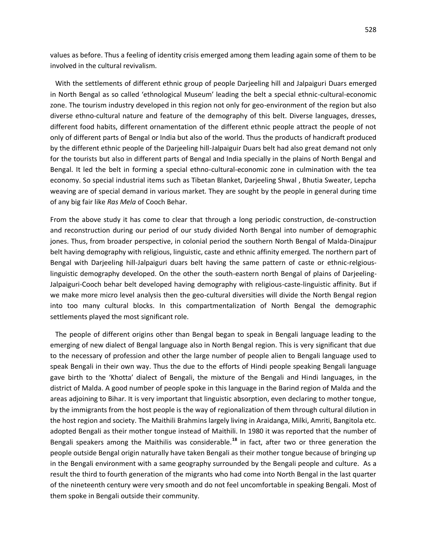values as before. Thus a feeling of identity crisis emerged among them leading again some of them to be involved in the cultural revivalism.

 With the settlements of different ethnic group of people Darjeeling hill and Jalpaiguri Duars emerged in North Bengal as so called 'ethnological Museum' leading the belt a special ethnic-cultural-economic zone. The tourism industry developed in this region not only for geo-environment of the region but also diverse ethno-cultural nature and feature of the demography of this belt. Diverse languages, dresses, different food habits, different ornamentation of the different ethnic people attract the people of not only of different parts of Bengal or India but also of the world. Thus the products of handicraft produced by the different ethnic people of the Darjeeling hill-Jalpaiguir Duars belt had also great demand not only for the tourists but also in different parts of Bengal and India specially in the plains of North Bengal and Bengal. It led the belt in forming a special ethno-cultural-economic zone in culmination with the tea economy. So special industrial items such as Tibetan Blanket, Darjeeling Shwal , Bhutia Sweater, Lepcha weaving are of special demand in various market. They are sought by the people in general during time of any big fair like *Ras Mela* of Cooch Behar.

From the above study it has come to clear that through a long periodic construction, de-construction and reconstruction during our period of our study divided North Bengal into number of demographic jones. Thus, from broader perspective, in colonial period the southern North Bengal of Malda-Dinajpur belt having demography with religious, linguistic, caste and ethnic affinity emerged. The northern part of Bengal with Darjeeling hill-Jalpaiguri duars belt having the same pattern of caste or ethnic-relgiouslinguistic demography developed. On the other the south-eastern north Bengal of plains of Darjeeling-Jalpaiguri-Cooch behar belt developed having demography with religious-caste-linguistic affinity. But if we make more micro level analysis then the geo-cultural diversities will divide the North Bengal region into too many cultural blocks. In this compartmentalization of North Bengal the demographic settlements played the most significant role.

 The people of different origins other than Bengal began to speak in Bengali language leading to the emerging of new dialect of Bengal language also in North Bengal region. This is very significant that due to the necessary of profession and other the large number of people alien to Bengali language used to speak Bengali in their own way. Thus the due to the efforts of Hindi people speaking Bengali language gave birth to the 'Khotta' dialect of Bengali, the mixture of the Bengali and Hindi languages, in the district of Malda. A good number of people spoke in this language in the Barind region of Malda and the areas adjoining to Bihar. It is very important that linguistic absorption, even declaring to mother tongue, by the immigrants from the host people is the way of regionalization of them through cultural dilution in the host region and society. The Maithili Brahmins largely living in Araidanga, Milki, Amriti, Bangitola etc. adopted Bengali as their mother tongue instead of Maithili. In 1980 it was reported that the number of Bengali speakers among the Maithilis was considerable.**<sup>18</sup>** in fact, after two or three generation the people outside Bengal origin naturally have taken Bengali as their mother tongue because of bringing up in the Bengali environment with a same geography surrounded by the Bengali people and culture. As a result the third to fourth generation of the migrants who had come into North Bengal in the last quarter of the nineteenth century were very smooth and do not feel uncomfortable in speaking Bengali. Most of them spoke in Bengali outside their community.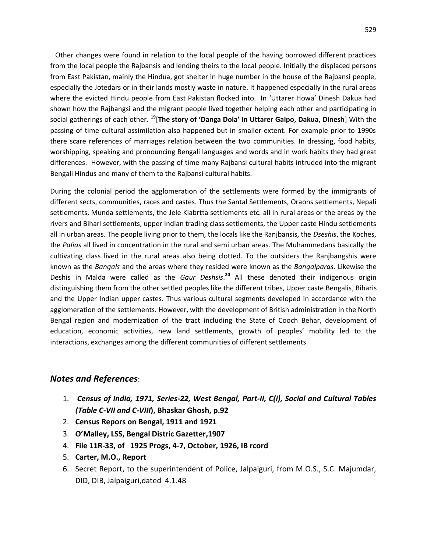Other changes were found in relation to the local people of the having borrowed different practices from the local people the Rajbansis and lending theirs to the local people. Initially the displaced persons from East Pakistan, mainly the Hindua, got shelter in huge number in the house of the Rajbansi people, especially the Jotedars or in their lands mostly waste in nature. It happened especially in the rural areas where the evicted Hindu people from East Pakistan flocked into. In 'Uttarer Howa' Dinesh Dakua had shown how the Rajbangsi and the migrant people lived together helping each other and participating in social gatherings of each other. **<sup>19</sup>**[**The story of 'Danga Dola' in Uttarer Galpo, Dakua, Dinesh**] With the passing of time cultural assimilation also happened but in smaller extent. For example prior to 1990s there scare references of marriages relation between the two communities. In dressing, food habits, worshipping, speaking and pronouncing Bengali languages and words and in work habits they had great differences. However, with the passing of time many Rajbansi cultural habits intruded into the migrant Bengali Hindus and many of them to the Rajbansi cultural habits.

During the colonial period the agglomeration of the settlements were formed by the immigrants of different sects, communities, races and castes. Thus the Santal Settlements, Oraons settlements, Nepali settlements, Munda settlements, the Jele Kiabrtta settlements etc. all in rural areas or the areas by the rivers and Bihari settlements, upper Indian trading class settlements, the Upper caste Hindu settlements all in urban areas. The people living prior to them, the locals like the Ranjbansis, the *Dseshis*, the Koches, the *Palias* all lived in concentration in the rural and semi urban areas. The Muhammedans basically the cultivating class lived in the rural areas also being clotted. To the outsiders the Ranjbangshis were known as the *Bangals* and the areas where they resided were known as the *Bangalparas.* Likewise the Deshis in Malda were called as the *Gaur Deshsis*. **<sup>20</sup>** All these denoted their indigenous origin distinguishing them from the other settled peoples like the different tribes, Upper caste Bengalis, Biharis and the Upper Indian upper castes. Thus various cultural segments developed in accordance with the agglomeration of the settlements. However, with the development of British administration in the North Bengal region and modernization of the tract including the State of Cooch Behar, development of education, economic activities, new land settlements, growth of peoples' mobility led to the interactions, exchanges among the different communities of different settlements

## *Notes and References*:

- 1. *Census of India, 1971, Series-22, West Bengal, Part-II, C(i), Social and Cultural Tables (Table C-VII and C-VIII***), Bhaskar Ghosh, p.92**
- 2. **Census Repors on Bengal, 1911 and 1921**
- 3. **O'Malley, LSS, Bengal Distric Gazetter,1907**
- 4. **File 11R-33, of 1925 Progs, 4-7, October, 1926, IB rcord**
- 5. **Carter, M.O., Report**
- 6. Secret Report, to the superintendent of Police, Jalpaiguri, from M.O.S., S.C. Majumdar, DID, DIB, Jalpaiguri,dated 4.1.48